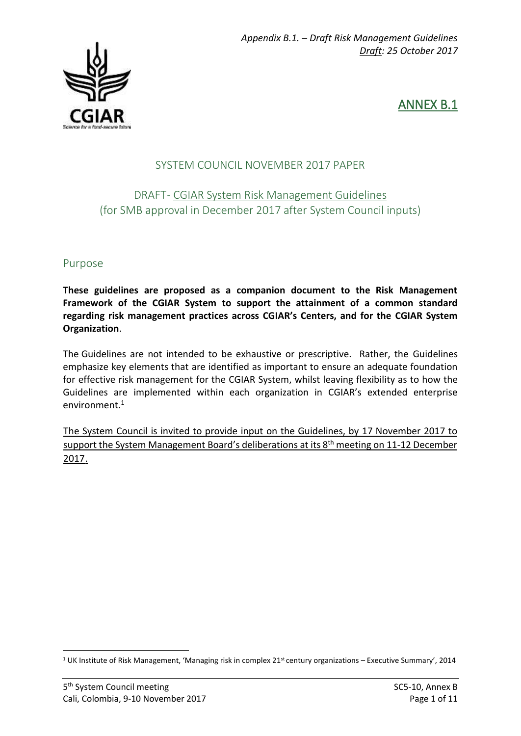

ANNEX B.1

## SYSTEM COUNCIL NOVEMBER 2017 PAPER

# DRAFT - CGIAR System Risk Management Guidelines (for SMB approval in December 2017 after System Council inputs)

#### Purpose

**These guidelines are proposed as a companion document to the Risk Management Framework of the CGIAR System to support the attainment of a common standard regarding risk management practices across CGIAR's Centers, and for the CGIAR System Organization**.

The Guidelines are not intended to be exhaustive or prescriptive. Rather, the Guidelines emphasize key elements that are identified as important to ensure an adequate foundation for effective risk management for the CGIAR System, whilst leaving flexibility as to how the Guidelines are implemented within each organization in CGIAR's extended enterprise environment.<sup>1</sup>

The System Council is invited to provide input on the Guidelines, by 17 November 2017 to support the System Management Board's deliberations at its 8 th meeting on 11-12 December 2017.

**.** 

<sup>&</sup>lt;sup>1</sup> UK Institute of Risk Management, 'Managing risk in complex  $21<sup>st</sup>$  century organizations – Executive Summary', 2014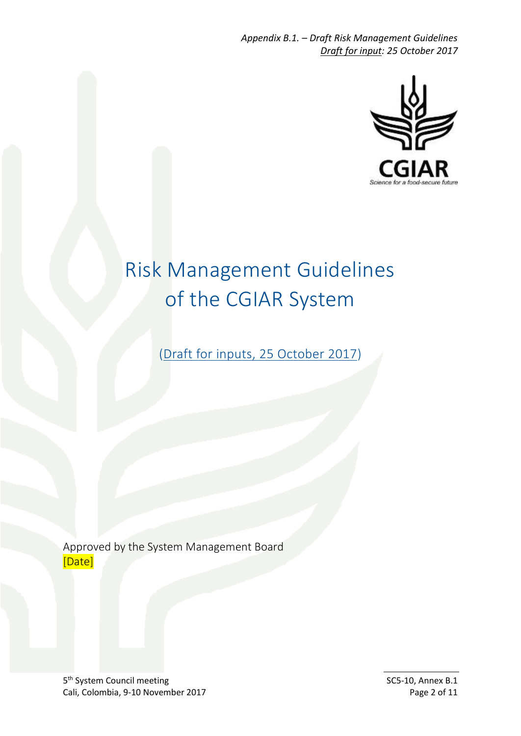*Appendix B.1. – Draft Risk Management Guidelines Draft for input: 25 October 2017*



# Risk Management Guidelines of the CGIAR System

(Draft for inputs, 25 October 2017)

Approved by the System Management Board [Date]

5<sup>th</sup> System Council meeting SC5-10, Annex B.1 Cali, Colombia, 9-10 November 2017 **Page 2 of 11**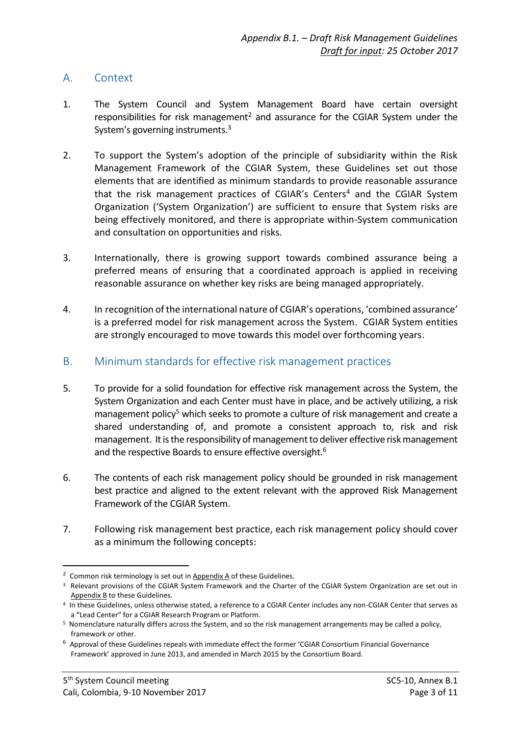#### A. Context

- 1. The System Council and System Management Board have certain oversight responsibilities for risk management<sup>2</sup> and assurance for the CGIAR System under the System's governing instruments.<sup>3</sup>
- 2. To support the System's adoption of the principle of subsidiarity within the Risk Management Framework of the CGIAR System, these Guidelines set out those elements that are identified as minimum standards to provide reasonable assurance that the risk management practices of CGIAR's Centers<sup>4</sup> and the CGIAR System Organization ('System Organization') are sufficient to ensure that System risks are being effectively monitored, and there is appropriate within-System communication and consultation on opportunities and risks.
- 3. Internationally, there is growing support towards combined assurance being a preferred means of ensuring that a coordinated approach is applied in receiving reasonable assurance on whether key risks are being managed appropriately.
- 4. In recognition of the international nature of CGIAR's operations, 'combined assurance' is a preferred model for risk management across the System. CGIAR System entities are strongly encouraged to move towards this model over forthcoming years.
- B. Minimum standards for effective risk management practices
- 5. To provide for a solid foundation for effective risk management across the System, the System Organization and each Center must have in place, and be actively utilizing, a risk management policy<sup>5</sup> which seeks to promote a culture of risk management and create a shared understanding of, and promote a consistent approach to, risk and risk management. It is the responsibility of management to deliver effective risk management and the respective Boards to ensure effective oversight.<sup>6</sup>
- 6. The contents of each risk management policy should be grounded in risk management best practice and aligned to the extent relevant with the approved Risk Management Framework of the CGIAR System.
- 7. Following risk management best practice, each risk management policy should cover as a minimum the following concepts:

1

<sup>&</sup>lt;sup>2</sup> Common risk terminology is set out in Appendix A of these Guidelines.

<sup>3</sup> Relevant provisions of the CGIAR System Framework and the Charter of the CGIAR System Organization are set out in Appendix B to these Guidelines.

<sup>4</sup> In these Guidelines, unless otherwise stated, a reference to a CGIAR Center includes any non-CGIAR Center that serves as a "Lead Center" for a CGIAR Research Program or Platform.

<sup>5</sup> Nomenclature naturally differs across the System, and so the risk management arrangements may be called a policy, framework or other.

<sup>&</sup>lt;sup>6</sup> Approval of these Guidelines repeals with immediate effect the former 'CGIAR Consortium Financial Governance Framework' approved in June 2013, and amended in March 2015 by the Consortium Board.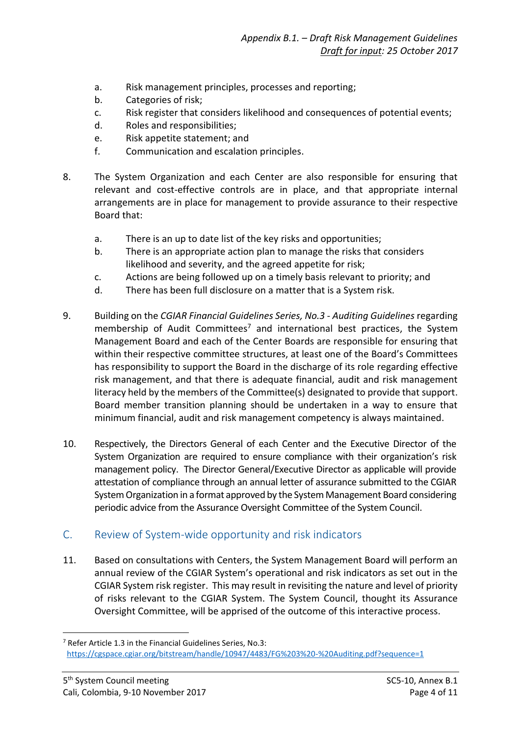- a. Risk management principles, processes and reporting;
- b. Categories of risk;
- c. Risk register that considers likelihood and consequences of potential events;
- d. Roles and responsibilities;
- e. Risk appetite statement; and
- f. Communication and escalation principles.
- 8. The System Organization and each Center are also responsible for ensuring that relevant and cost-effective controls are in place, and that appropriate internal arrangements are in place for management to provide assurance to their respective Board that:
	- a. There is an up to date list of the key risks and opportunities;
	- b. There is an appropriate action plan to manage the risks that considers likelihood and severity, and the agreed appetite for risk;
	- c. Actions are being followed up on a timely basis relevant to priority; and
	- d. There has been full disclosure on a matter that is a System risk.
- 9. Building on the *CGIAR Financial Guidelines Series, No.3 - Auditing Guidelines* regarding membership of Audit Committees<sup>7</sup> and international best practices, the System Management Board and each of the Center Boards are responsible for ensuring that within their respective committee structures, at least one of the Board's Committees has responsibility to support the Board in the discharge of its role regarding effective risk management, and that there is adequate financial, audit and risk management literacy held by the members of the Committee(s) designated to provide that support. Board member transition planning should be undertaken in a way to ensure that minimum financial, audit and risk management competency is always maintained.
- 10. Respectively, the Directors General of each Center and the Executive Director of the System Organization are required to ensure compliance with their organization's risk management policy. The Director General/Executive Director as applicable will provide attestation of compliance through an annual letter of assurance submitted to the CGIAR System Organization in a format approved by the System Management Board considering periodic advice from the Assurance Oversight Committee of the System Council.
- C. Review of System-wide opportunity and risk indicators
- 11. Based on consultations with Centers, the System Management Board will perform an annual review of the CGIAR System's operational and risk indicators as set out in the CGIAR System risk register. This may result in revisiting the nature and level of priority of risks relevant to the CGIAR System. The System Council, thought its Assurance Oversight Committee, will be apprised of the outcome of this interactive process.

1

<sup>7</sup> Refer Article 1.3 in the Financial Guidelines Series, No.3: <https://cgspace.cgiar.org/bitstream/handle/10947/4483/FG%203%20-%20Auditing.pdf?sequence=1>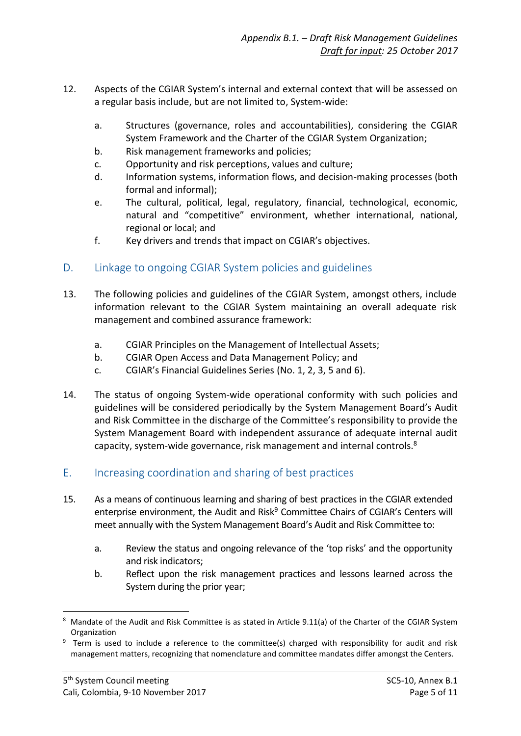- 12. Aspects of the CGIAR System's internal and external context that will be assessed on a regular basis include, but are not limited to, System-wide:
	- a. Structures (governance, roles and accountabilities), considering the CGIAR System Framework and the Charter of the CGIAR System Organization;
	- b. Risk management frameworks and policies;
	- c. Opportunity and risk perceptions, values and culture;
	- d. Information systems, information flows, and decision-making processes (both formal and informal);
	- e. The cultural, political, legal, regulatory, financial, technological, economic, natural and "competitive" environment, whether international, national, regional or local; and
	- f. Key drivers and trends that impact on CGIAR's objectives.

## D. Linkage to ongoing CGIAR System policies and guidelines

- 13. The following policies and guidelines of the CGIAR System, amongst others, include information relevant to the CGIAR System maintaining an overall adequate risk management and combined assurance framework:
	- a. [CGIAR](https://library.cgiar.org/bitstream/handle/10947/4486/CGIAR%20IA%20Principles.pdf?sequence=1) Principles on the Management of Intellectual Assets;
	- b. CGIAR [Open Access and Data Management Policy;](http://library.cgiar.org/bitstream/handle/10947/4488/Open%20Access%20Data%20Management%20Policy.pdf?sequence=1) and
	- c. CGIAR's Financial Guidelines Series (No. 1, 2, 3, 5 and 6).
- 14. The status of ongoing System-wide operational conformity with such policies and guidelines will be considered periodically by the System Management Board's Audit and Risk Committee in the discharge of the Committee's responsibility to provide the System Management Board with independent assurance of adequate internal audit capacity, system-wide governance, risk management and internal controls.<sup>8</sup>

#### E. Increasing coordination and sharing of best practices

- 15. As a means of continuous learning and sharing of best practices in the CGIAR extended enterprise environment, the Audit and Risk<sup>9</sup> Committee Chairs of CGIAR's Centers will meet annually with the System Management Board's Audit and Risk Committee to:
	- a. Review the status and ongoing relevance of the 'top risks' and the opportunity and risk indicators;
	- b. Reflect upon the risk management practices and lessons learned across the System during the prior year;

<sup>1</sup> 8 Mandate of the Audit and Risk Committee is as stated in Article 9.11(a) of the Charter of the CGIAR System Organization

<sup>&</sup>lt;sup>9</sup> Term is used to include a reference to the committee(s) charged with responsibility for audit and risk management matters, recognizing that nomenclature and committee mandates differ amongst the Centers.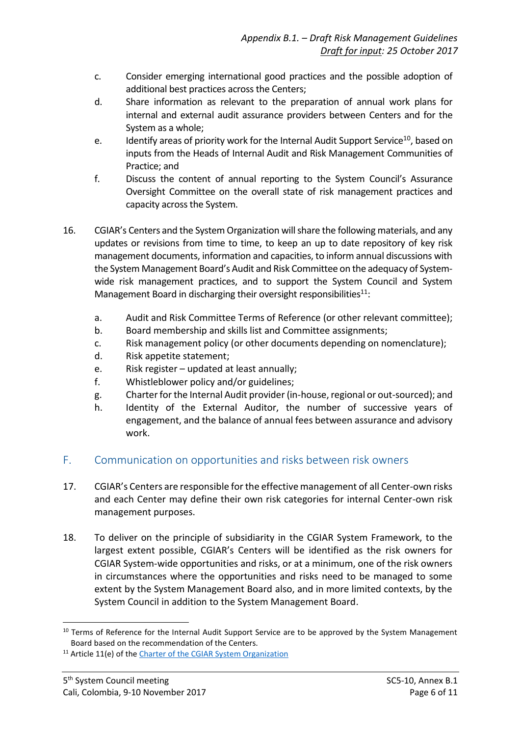- c. Consider emerging international good practices and the possible adoption of additional best practices across the Centers;
- d. Share information as relevant to the preparation of annual work plans for internal and external audit assurance providers between Centers and for the System as a whole;
- e. Identify areas of priority work for the Internal Audit Support Service<sup>10</sup>, based on inputs from the Heads of Internal Audit and Risk Management Communities of Practice; and
- f. Discuss the content of annual reporting to the System Council's Assurance Oversight Committee on the overall state of risk management practices and capacity across the System.
- 16. CGIAR's Centers and the System Organization will share the following materials, and any updates or revisions from time to time, to keep an up to date repository of key risk management documents, information and capacities, to inform annual discussions with the System Management Board's Audit and Risk Committee on the adequacy of Systemwide risk management practices, and to support the System Council and System Management Board in discharging their oversight responsibilities $11$ :
	- a. Audit and Risk Committee Terms of Reference (or other relevant committee);
	- b. Board membership and skills list and Committee assignments;
	- c. Risk management policy (or other documents depending on nomenclature);
	- d. Risk appetite statement;
	- e. Risk register updated at least annually;
	- f. Whistleblower policy and/or guidelines;
	- g. Charter for the Internal Audit provider (in-house, regional or out-sourced); and
	- h. Identity of the External Auditor, the number of successive years of engagement, and the balance of annual fees between assurance and advisory work.

#### F. Communication on opportunities and risks between risk owners

- 17. CGIAR's Centers are responsible for the effective management of all Center-own risks and each Center may define their own risk categories for internal Center-own risk management purposes.
- 18. To deliver on the principle of subsidiarity in the CGIAR System Framework, to the largest extent possible, CGIAR's Centers will be identified as the risk owners for CGIAR System-wide opportunities and risks, or at a minimum, one of the risk owners in circumstances where the opportunities and risks need to be managed to some extent by the System Management Board also, and in more limited contexts, by the System Council in addition to the System Management Board.

**.** 

<sup>&</sup>lt;sup>10</sup> Terms of Reference for the Internal Audit Support Service are to be approved by the System Management Board based on the recommendation of the Centers.

<sup>&</sup>lt;sup>11</sup> Article 11(e) of the [Charter of the CGIAR System Organization](http://library.cgiar.org/bitstream/handle/10947/4370/CGIAR%20System%20Charter%20-%20WEB.pdf?sequence=4)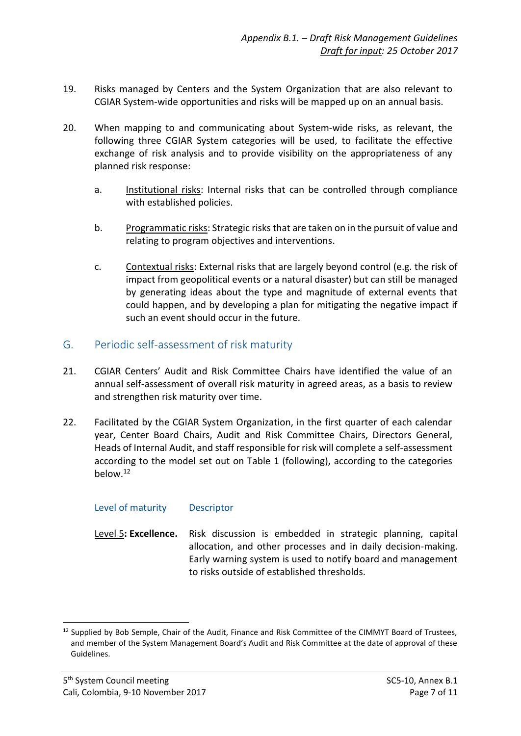- 19. Risks managed by Centers and the System Organization that are also relevant to CGIAR System-wide opportunities and risks will be mapped up on an annual basis.
- 20. When mapping to and communicating about System-wide risks, as relevant, the following three CGIAR System categories will be used, to facilitate the effective exchange of risk analysis and to provide visibility on the appropriateness of any planned risk response:
	- a. Institutional risks: Internal risks that can be controlled through compliance with established policies.
	- b. Programmatic risks: Strategic risks that are taken on in the pursuit of value and relating to program objectives and interventions.
	- c. Contextual risks: External risks that are largely beyond control (e.g. the risk of impact from geopolitical events or a natural disaster) but can still be managed by generating ideas about the type and magnitude of external events that could happen, and by developing a plan for mitigating the negative impact if such an event should occur in the future.

#### G. Periodic self-assessment of risk maturity

- 21. CGIAR Centers' Audit and Risk Committee Chairs have identified the value of an annual self-assessment of overall risk maturity in agreed areas, as a basis to review and strengthen risk maturity over time.
- 22. Facilitated by the CGIAR System Organization, in the first quarter of each calendar year, Center Board Chairs, Audit and Risk Committee Chairs, Directors General, Heads of Internal Audit, and staff responsible for risk will complete a self-assessment according to the model set out on Table 1 (following), according to the categories below.<sup>12</sup>

#### Level of maturity Descriptor

Level 5**: Excellence.** Risk discussion is embedded in strategic planning, capital allocation, and other processes and in daily decision-making. Early warning system is used to notify board and management to risks outside of established thresholds.

**<sup>.</sup>** <sup>12</sup> Supplied by Bob Semple, Chair of the Audit, Finance and Risk Committee of the CIMMYT Board of Trustees, and member of the System Management Board's Audit and Risk Committee at the date of approval of these Guidelines.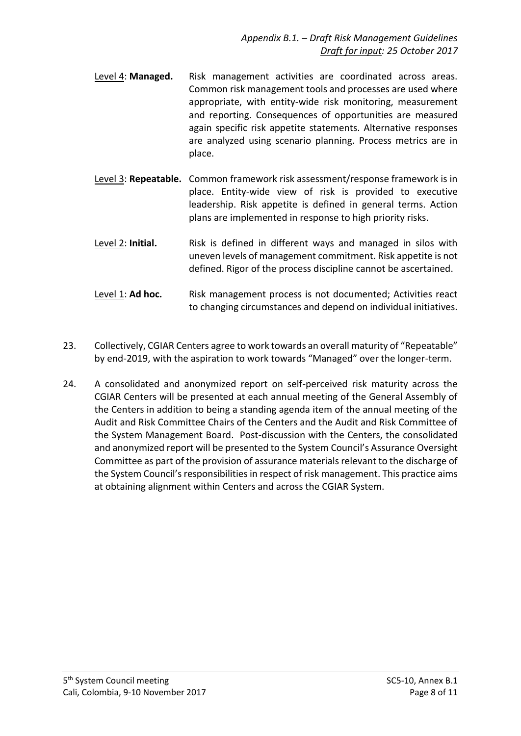- Level 4: **Managed.** Risk management activities are coordinated across areas. Common risk management tools and processes are used where appropriate, with entity-wide risk monitoring, measurement and reporting. Consequences of opportunities are measured again specific risk appetite statements. Alternative responses are analyzed using scenario planning. Process metrics are in place.
- Level 3: **Repeatable.** Common framework risk assessment/response framework is in place. Entity-wide view of risk is provided to executive leadership. Risk appetite is defined in general terms. Action plans are implemented in response to high priority risks.
- Level 2: **Initial.** Risk is defined in different ways and managed in silos with uneven levels of management commitment. Risk appetite is not defined. Rigor of the process discipline cannot be ascertained.
- Level 1: Ad hoc. Risk management process is not documented; Activities react to changing circumstances and depend on individual initiatives.
- 23. Collectively, CGIAR Centers agree to work towards an overall maturity of "Repeatable" by end-2019, with the aspiration to work towards "Managed" over the longer-term.
- 24. A consolidated and anonymized report on self-perceived risk maturity across the CGIAR Centers will be presented at each annual meeting of the General Assembly of the Centers in addition to being a standing agenda item of the annual meeting of the Audit and Risk Committee Chairs of the Centers and the Audit and Risk Committee of the System Management Board. Post-discussion with the Centers, the consolidated and anonymized report will be presented to the System Council's Assurance Oversight Committee as part of the provision of assurance materials relevant to the discharge of the System Council's responsibilities in respect of risk management. This practice aims at obtaining alignment within Centers and across the CGIAR System.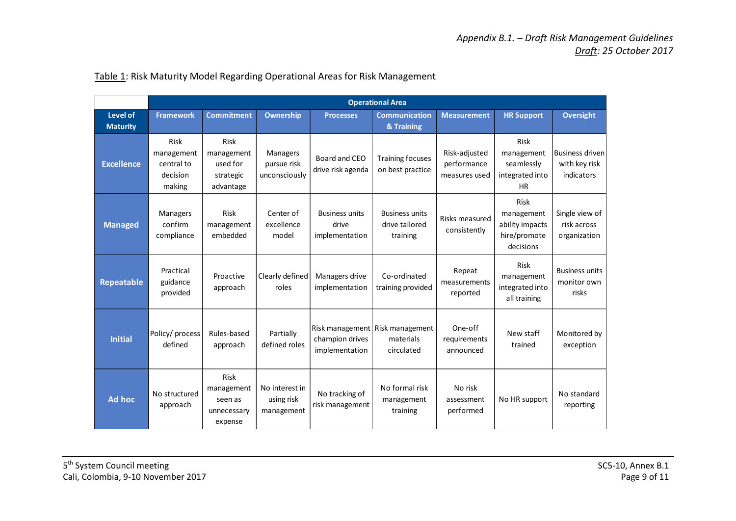|                             | <b>Operational Area</b>                                       |                                                          |                                            |                                                      |                                                     |                                               |                                                                           |                                                       |
|-----------------------------|---------------------------------------------------------------|----------------------------------------------------------|--------------------------------------------|------------------------------------------------------|-----------------------------------------------------|-----------------------------------------------|---------------------------------------------------------------------------|-------------------------------------------------------|
| Level of<br><b>Maturity</b> | <b>Framework</b>                                              | <b>Commitment</b>                                        | <b>Ownership</b>                           | <b>Processes</b>                                     | <b>Communication</b><br>& Training                  | <b>Measurement</b>                            | <b>HR Support</b>                                                         | <b>Oversight</b>                                      |
| <b>Excellence</b>           | <b>Risk</b><br>management<br>central to<br>decision<br>making | Risk<br>management<br>used for<br>strategic<br>advantage | Managers<br>pursue risk<br>unconsciously   | Board and CEO<br>drive risk agenda                   | <b>Training focuses</b><br>on best practice         | Risk-adjusted<br>performance<br>measures used | Risk<br>management<br>seamlessly<br>integrated into<br><b>HR</b>          | <b>Business driven</b><br>with key risk<br>indicators |
| <b>Managed</b>              | <b>Managers</b><br>confirm<br>compliance                      | <b>Risk</b><br>management<br>embedded                    | Center of<br>excellence<br>model           | <b>Business units</b><br>drive<br>implementation     | <b>Business units</b><br>drive tailored<br>training | Risks measured<br>consistently                | <b>Risk</b><br>management<br>ability impacts<br>hire/promote<br>decisions | Single view of<br>risk across<br>organization         |
| <b>Repeatable</b>           | Practical<br>guidance<br>provided                             | Proactive<br>approach                                    | Clearly defined<br>roles                   | Managers drive<br>implementation                     | Co-ordinated<br>training provided                   | Repeat<br>measurements<br>reported            | <b>Risk</b><br>management<br>integrated into<br>all training              | <b>Business units</b><br>monitor own<br>risks         |
| <b>Initial</b>              | Policy/ process<br>defined                                    | Rules-based<br>approach                                  | Partially<br>defined roles                 | Risk management<br>champion drives<br>implementation | Risk management<br>materials<br>circulated          | One-off<br>requirements<br>announced          | New staff<br>trained                                                      | Monitored by<br>exception                             |
| Ad hoc                      | No structured<br>approach                                     | Risk<br>management<br>seen as<br>unnecessary<br>expense  | No interest in<br>using risk<br>management | No tracking of<br>risk management                    | No formal risk<br>management<br>training            | No risk<br>assessment<br>performed            | No HR support                                                             | No standard<br>reporting                              |

#### Table 1: Risk Maturity Model Regarding Operational Areas for Risk Management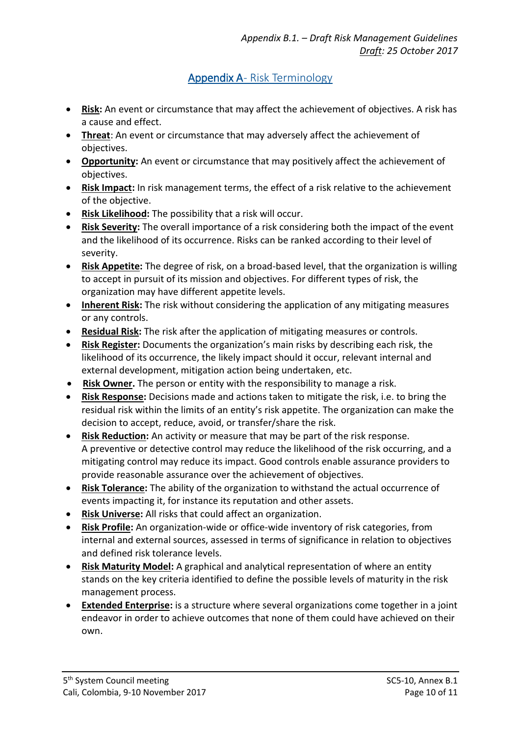# Appendix A- Risk Terminology

- **Risk:** An event or circumstance that may affect the achievement of objectives. A risk has a cause and effect.
- **Threat**: An event or circumstance that may adversely affect the achievement of objectives.
- **Opportunity:** An event or circumstance that may positively affect the achievement of objectives.
- **Risk Impact:** In risk management terms, the effect of a risk relative to the achievement of the objective.
- **Risk Likelihood:** The possibility that a risk will occur.
- **Risk Severity:** The overall importance of a risk considering both the impact of the event and the likelihood of its occurrence. Risks can be ranked according to their level of severity.
- **Risk Appetite:** The degree of risk, on a broad-based level, that the organization is willing to accept in pursuit of its mission and objectives. For different types of risk, the organization may have different appetite levels.
- **Inherent Risk:** The risk without considering the application of any mitigating measures or any controls.
- **Residual Risk:** The risk after the application of mitigating measures or controls.
- **Risk Register:** Documents the organization's main risks by describing each risk, the likelihood of its occurrence, the likely impact should it occur, relevant internal and external development, mitigation action being undertaken, etc.
- **Risk Owner.** The person or entity with the responsibility to manage a risk.
- **Risk Response:** Decisions made and actions taken to mitigate the risk, i.e. to bring the residual risk within the limits of an entity's risk appetite. The organization can make the decision to accept, reduce, avoid, or transfer/share the risk.
- **Risk Reduction:** An activity or measure that may be part of the risk response. A preventive or detective control may reduce the likelihood of the risk occurring, and a mitigating control may reduce its impact. Good controls enable assurance providers to provide reasonable assurance over the achievement of objectives.
- **Risk Tolerance:** The ability of the organization to withstand the actual occurrence of events impacting it, for instance its reputation and other assets.
- **Risk Universe:** All risks that could affect an organization.
- **Risk Profile:** An organization-wide or office-wide inventory of risk categories, from internal and external sources, assessed in terms of significance in relation to objectives and defined risk tolerance levels.
- **Risk Maturity Model:** A graphical and analytical representation of where an entity stands on the key criteria identified to define the possible levels of maturity in the risk management process.
- **Extended Enterprise:** is a structure where several organizations come together in a joint endeavor in order to achieve outcomes that none of them could have achieved on their own.